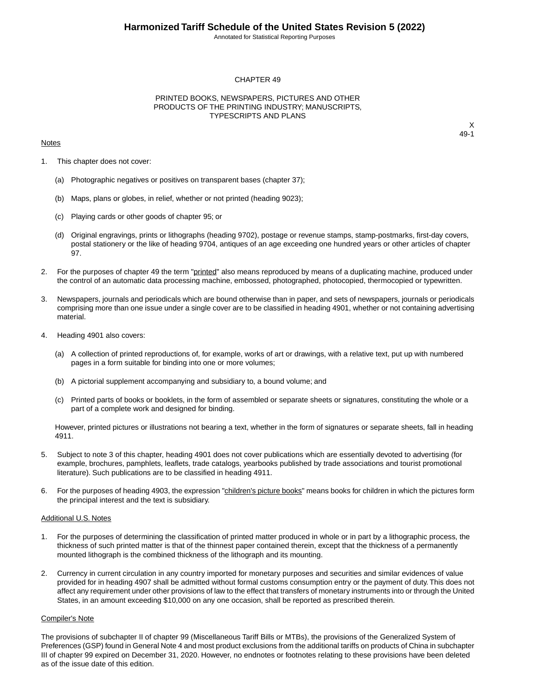Annotated for Statistical Reporting Purposes

#### CHAPTER 49

### PRINTED BOOKS, NEWSPAPERS, PICTURES AND OTHER PRODUCTS OF THE PRINTING INDUSTRY; MANUSCRIPTS, TYPESCRIPTS AND PLANS

#### **Notes**

X 49-1

- 1. This chapter does not cover:
	- (a) Photographic negatives or positives on transparent bases (chapter 37);
	- (b) Maps, plans or globes, in relief, whether or not printed (heading 9023);
	- (c) Playing cards or other goods of chapter 95; or
	- (d) Original engravings, prints or lithographs (heading 9702), postage or revenue stamps, stamp-postmarks, first-day covers, postal stationery or the like of heading 9704, antiques of an age exceeding one hundred years or other articles of chapter 97.
- 2. For the purposes of chapter 49 the term "printed" also means reproduced by means of a duplicating machine, produced under the control of an automatic data processing machine, embossed, photographed, photocopied, thermocopied or typewritten.
- 3. Newspapers, journals and periodicals which are bound otherwise than in paper, and sets of newspapers, journals or periodicals comprising more than one issue under a single cover are to be classified in heading 4901, whether or not containing advertising material.
- 4. Heading 4901 also covers:
	- (a) A collection of printed reproductions of, for example, works of art or drawings, with a relative text, put up with numbered pages in a form suitable for binding into one or more volumes;
	- (b) A pictorial supplement accompanying and subsidiary to, a bound volume; and
	- (c) Printed parts of books or booklets, in the form of assembled or separate sheets or signatures, constituting the whole or a part of a complete work and designed for binding.

However, printed pictures or illustrations not bearing a text, whether in the form of signatures or separate sheets, fall in heading 4911.

- 5. Subject to note 3 of this chapter, heading 4901 does not cover publications which are essentially devoted to advertising (for example, brochures, pamphlets, leaflets, trade catalogs, yearbooks published by trade associations and tourist promotional literature). Such publications are to be classified in heading 4911.
- 6. For the purposes of heading 4903, the expression "children's picture books" means books for children in which the pictures form the principal interest and the text is subsidiary.

### Additional U.S. Notes

- 1. For the purposes of determining the classification of printed matter produced in whole or in part by a lithographic process, the thickness of such printed matter is that of the thinnest paper contained therein, except that the thickness of a permanently mounted lithograph is the combined thickness of the lithograph and its mounting.
- 2. Currency in current circulation in any country imported for monetary purposes and securities and similar evidences of value provided for in heading 4907 shall be admitted without formal customs consumption entry or the payment of duty. This does not affect any requirement under other provisions of law to the effect that transfers of monetary instruments into or through the United States, in an amount exceeding \$10,000 on any one occasion, shall be reported as prescribed therein.

#### Compiler's Note

The provisions of subchapter II of chapter 99 (Miscellaneous Tariff Bills or MTBs), the provisions of the Generalized System of Preferences (GSP) found in General Note 4 and most product exclusions from the additional tariffs on products of China in subchapter III of chapter 99 expired on December 31, 2020. However, no endnotes or footnotes relating to these provisions have been deleted as of the issue date of this edition.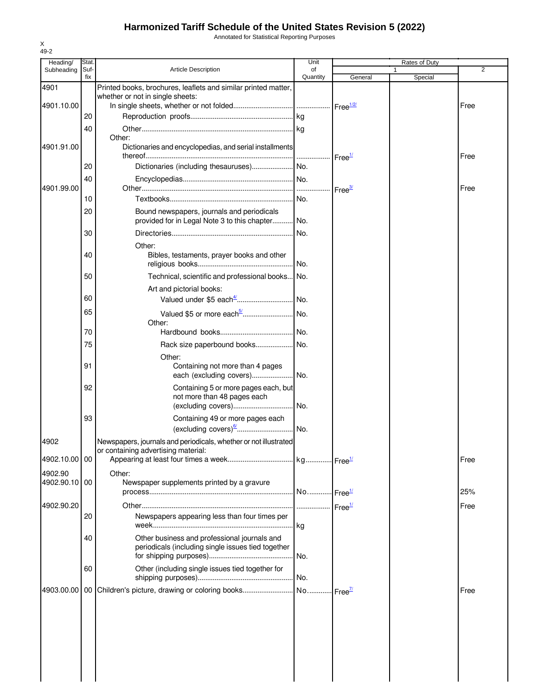## **Harmonized Tariff Schedule of the United States Revision 5 (2022)**

Annotated for Statistical Reporting Purposes

| Heading/      | Stat.       |                                                                                                                                     | Unit                  |                    | Rates of Duty |                |
|---------------|-------------|-------------------------------------------------------------------------------------------------------------------------------------|-----------------------|--------------------|---------------|----------------|
| Subheading    | Suf-<br>fix | <b>Article Description</b>                                                                                                          | of<br>Quantity        | General            | Special       | $\overline{2}$ |
| 4901          |             | Printed books, brochures, leaflets and similar printed matter,                                                                      |                       |                    |               |                |
| 4901.10.00    |             | whether or not in single sheets:                                                                                                    |                       |                    |               |                |
|               | 20          |                                                                                                                                     |                       |                    |               | Free           |
|               | 40          |                                                                                                                                     |                       |                    |               |                |
|               |             | Other:                                                                                                                              |                       |                    |               |                |
| 4901.91.00    |             | Dictionaries and encyclopedias, and serial installments                                                                             |                       | Free <sup>1/</sup> |               | Free           |
|               | 20          |                                                                                                                                     |                       |                    |               |                |
| 4901.99.00    | 40          |                                                                                                                                     |                       | Free <sup>3/</sup> |               | Free           |
|               | 10          |                                                                                                                                     | No.                   |                    |               |                |
|               | 20          | Bound newspapers, journals and periodicals<br>provided for in Legal Note 3 to this chapter                                          | No.                   |                    |               |                |
|               | 30          |                                                                                                                                     | No.                   |                    |               |                |
|               | 40          | Other:<br>Bibles, testaments, prayer books and other                                                                                |                       |                    |               |                |
|               |             |                                                                                                                                     |                       |                    |               |                |
|               | 50          | Technical, scientific and professional books No.<br>Art and pictorial books:                                                        |                       |                    |               |                |
|               | 60          |                                                                                                                                     |                       |                    |               |                |
|               | 65          | Valued \$5 or more each <sup>5/</sup><br>Other:                                                                                     | No.                   |                    |               |                |
|               | 70          |                                                                                                                                     |                       |                    |               |                |
|               | 75          | Rack size paperbound books No.                                                                                                      |                       |                    |               |                |
|               |             | Other:                                                                                                                              |                       |                    |               |                |
|               | 91          | Containing not more than 4 pages                                                                                                    |                       |                    |               |                |
|               | 92          | Containing 5 or more pages each, but                                                                                                |                       |                    |               |                |
|               |             | not more than 48 pages each                                                                                                         |                       |                    |               |                |
|               | 93          |                                                                                                                                     |                       |                    |               |                |
|               |             | Containing 49 or more pages each<br>$\left(\frac{\text{excluding covers}}{\text{sum} \dots \text{max} \cdot \text{max}}\right)$ No. |                       |                    |               |                |
| 4902          |             | Newspapers, journals and periodicals, whether or not illustrated                                                                    |                       |                    |               |                |
|               |             | or containing advertising material:                                                                                                 |                       |                    |               |                |
| 4902.10.00 00 |             |                                                                                                                                     |                       |                    |               | Free           |
| 4902.90       |             | Other:                                                                                                                              |                       |                    |               |                |
| 4902.90.10 00 |             | Newspaper supplements printed by a gravure                                                                                          | No Free <sup>1/</sup> |                    |               | 25%            |
| 4902.90.20    |             |                                                                                                                                     |                       |                    |               | Free           |
|               | 20          | Newspapers appearing less than four times per                                                                                       |                       |                    |               |                |
|               |             |                                                                                                                                     |                       |                    |               |                |
|               | 40          | Other business and professional journals and<br>periodicals (including single issues tied together                                  | No.                   |                    |               |                |
|               | 60          | Other (including single issues tied together for                                                                                    |                       |                    |               |                |
|               |             |                                                                                                                                     |                       |                    |               | Free           |
|               |             |                                                                                                                                     |                       |                    |               |                |
|               |             |                                                                                                                                     |                       |                    |               |                |
|               |             |                                                                                                                                     |                       |                    |               |                |
|               |             |                                                                                                                                     |                       |                    |               |                |
|               |             |                                                                                                                                     |                       |                    |               |                |
|               |             |                                                                                                                                     |                       |                    |               |                |

X 49-2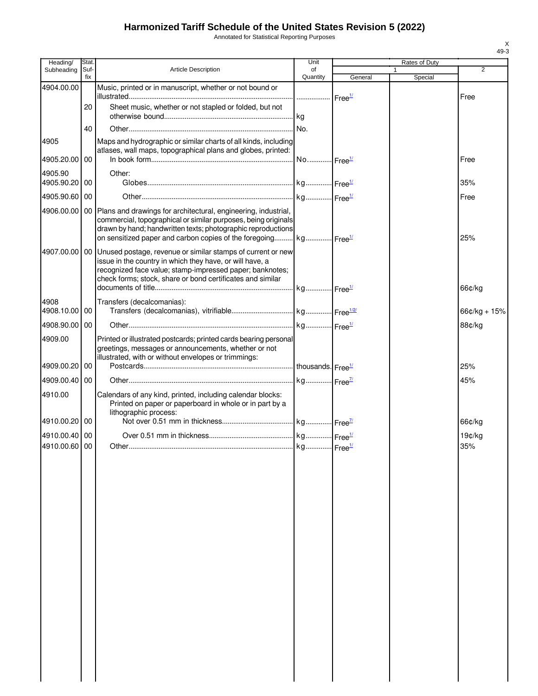# **Harmonized Tariff Schedule of the United States Revision 5 (2022)**

Annotated for Statistical Reporting Purposes

| Heading/                       | Stat.           |                                                                                                                                                                                                                                                                                     | Unit           |         | Rates of Duty           |                |
|--------------------------------|-----------------|-------------------------------------------------------------------------------------------------------------------------------------------------------------------------------------------------------------------------------------------------------------------------------------|----------------|---------|-------------------------|----------------|
| Subheading                     | Suf-<br>fix     | Article Description                                                                                                                                                                                                                                                                 | of<br>Quantity | General | $\mathbf{1}$<br>Special | $\overline{2}$ |
| 4904.00.00                     |                 | Music, printed or in manuscript, whether or not bound or                                                                                                                                                                                                                            |                |         |                         | Free           |
|                                | 20              | Sheet music, whether or not stapled or folded, but not                                                                                                                                                                                                                              |                |         |                         |                |
|                                | 40              |                                                                                                                                                                                                                                                                                     |                |         |                         |                |
| 4905<br>4905.20.00             | 00              | Maps and hydrographic or similar charts of all kinds, including<br>atlases, wall maps, topographical plans and globes, printed:                                                                                                                                                     |                |         |                         | Free           |
| 4905.90<br>4905.90.20          | 00              | Other:                                                                                                                                                                                                                                                                              |                |         |                         | 35%            |
| 4905.90.60                     | 00              |                                                                                                                                                                                                                                                                                     |                |         |                         | Free           |
| 4906.00.00                     |                 | 00 Plans and drawings for architectural, engineering, industrial,<br>commercial, topographical or similar purposes, being originals<br>drawn by hand; handwritten texts; photographic reproductions<br>on sensitized paper and carbon copies of the foregoing kg Free <sup>1/</sup> |                |         |                         | 25%            |
| 4907.00.00                     |                 | 00 Unused postage, revenue or similar stamps of current or new<br>issue in the country in which they have, or will have, a<br>recognized face value; stamp-impressed paper; banknotes;<br>check forms; stock, share or bond certificates and similar                                |                |         |                         | 66¢/kg         |
| 4908<br>4908.10.00             | 00 <sub>1</sub> | Transfers (decalcomanias):                                                                                                                                                                                                                                                          |                |         |                         | $66¢/kg + 15%$ |
| 4908.90.00                     | 00              |                                                                                                                                                                                                                                                                                     |                |         |                         | 88¢/kg         |
| 4909.00                        |                 | Printed or illustrated postcards; printed cards bearing personal<br>greetings, messages or announcements, whether or not<br>illustrated, with or without envelopes or trimmings:                                                                                                    |                |         |                         |                |
| 4909.00.20                     | 00              |                                                                                                                                                                                                                                                                                     |                |         |                         | 25%            |
| 4909.00.40                     | 00              |                                                                                                                                                                                                                                                                                     |                |         |                         | 45%            |
| 4910.00                        |                 | Calendars of any kind, printed, including calendar blocks:<br>Printed on paper or paperboard in whole or in part by a<br>lithographic process:                                                                                                                                      |                |         |                         |                |
| 4910.00.20 00                  |                 |                                                                                                                                                                                                                                                                                     |                |         |                         | 66¢/kg         |
| 4910.00.40 00<br>4910.00.60 00 |                 |                                                                                                                                                                                                                                                                                     |                |         |                         | 19¢/kg<br>35%  |
|                                |                 |                                                                                                                                                                                                                                                                                     |                |         |                         |                |

X 49-3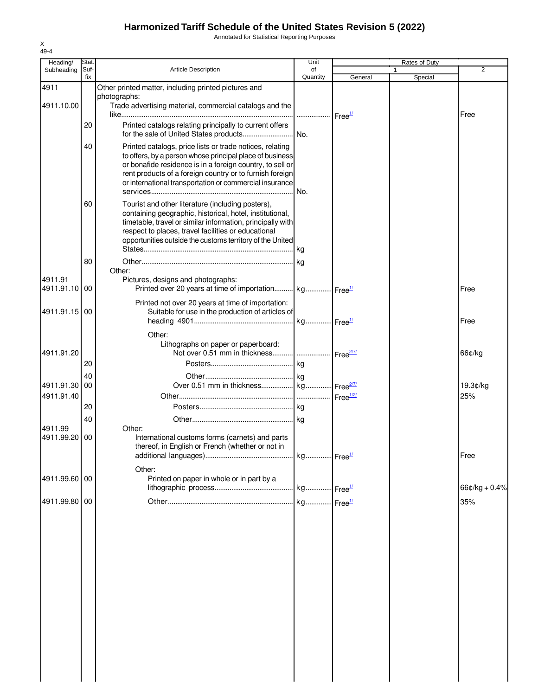## **Harmonized Tariff Schedule of the United States Revision 5 (2022)**

Annotated for Statistical Reporting Purposes

| Heading/              | Stat.       |                                                                                                                                                                                                                                                                                                          | Unit                        |         | Rates of Duty |                 |
|-----------------------|-------------|----------------------------------------------------------------------------------------------------------------------------------------------------------------------------------------------------------------------------------------------------------------------------------------------------------|-----------------------------|---------|---------------|-----------------|
| Subheading            | Suf-<br>fix | <b>Article Description</b>                                                                                                                                                                                                                                                                               | of<br>Quantity              | General | 1<br>Special  | 2               |
| 4911<br>4911.10.00    |             | Other printed matter, including printed pictures and<br>photographs:<br>Trade advertising material, commercial catalogs and the                                                                                                                                                                          |                             |         |               | Free            |
|                       | 20          | Printed catalogs relating principally to current offers<br>for the sale of United States products                                                                                                                                                                                                        | Free <sup>1/</sup><br>I No. |         |               |                 |
|                       | 40          | Printed catalogs, price lists or trade notices, relating<br>to offers, by a person whose principal place of business<br>or bonafide residence is in a foreign country, to sell or<br>rent products of a foreign country or to furnish foreign<br>or international transportation or commercial insurance | I No.                       |         |               |                 |
|                       | 60          | Tourist and other literature (including posters),<br>containing geographic, historical, hotel, institutional,<br>timetable, travel or similar information, principally with<br>respect to places, travel facilities or educational<br>opportunities outside the customs territory of the United          |                             |         |               |                 |
|                       | 80          |                                                                                                                                                                                                                                                                                                          |                             |         |               |                 |
| 4911.91<br>4911.91.10 | 00          | Other:<br>Pictures, designs and photographs:<br>Printed over 20 years at time of importation kg Free <sup>1/</sup>                                                                                                                                                                                       |                             |         |               | Free            |
| 4911.91.15            | 00          | Printed not over 20 years at time of importation:<br>Suitable for use in the production of articles of                                                                                                                                                                                                   |                             |         |               | Free            |
| 4911.91.20            |             | Other:<br>Lithographs on paper or paperboard:                                                                                                                                                                                                                                                            |                             |         |               | 66¢/kg          |
|                       | 20          |                                                                                                                                                                                                                                                                                                          |                             |         |               |                 |
|                       | 40          |                                                                                                                                                                                                                                                                                                          |                             |         |               |                 |
| 4911.91.30            | 00          | Over 0.51 mm in thickness kg Free <sup>277</sup>                                                                                                                                                                                                                                                         |                             |         |               | 19.3¢/kg        |
| 4911.91.40            |             |                                                                                                                                                                                                                                                                                                          |                             |         |               | 25%             |
|                       | 20          |                                                                                                                                                                                                                                                                                                          |                             |         |               |                 |
| 4911.99               | 40          | Other:                                                                                                                                                                                                                                                                                                   |                             |         |               |                 |
| 4911.99.20            | 00          | International customs forms (carnets) and parts<br>thereof, in English or French (whether or not in                                                                                                                                                                                                      |                             |         |               | Free            |
|                       |             | Other:                                                                                                                                                                                                                                                                                                   |                             |         |               |                 |
| 4911.99.60 00         |             | Printed on paper in whole or in part by a                                                                                                                                                                                                                                                                |                             |         |               | $66¢/kg + 0.4%$ |
| 4911.99.80 00         |             |                                                                                                                                                                                                                                                                                                          |                             |         |               | 35%             |
|                       |             |                                                                                                                                                                                                                                                                                                          |                             |         |               |                 |

X 49-4